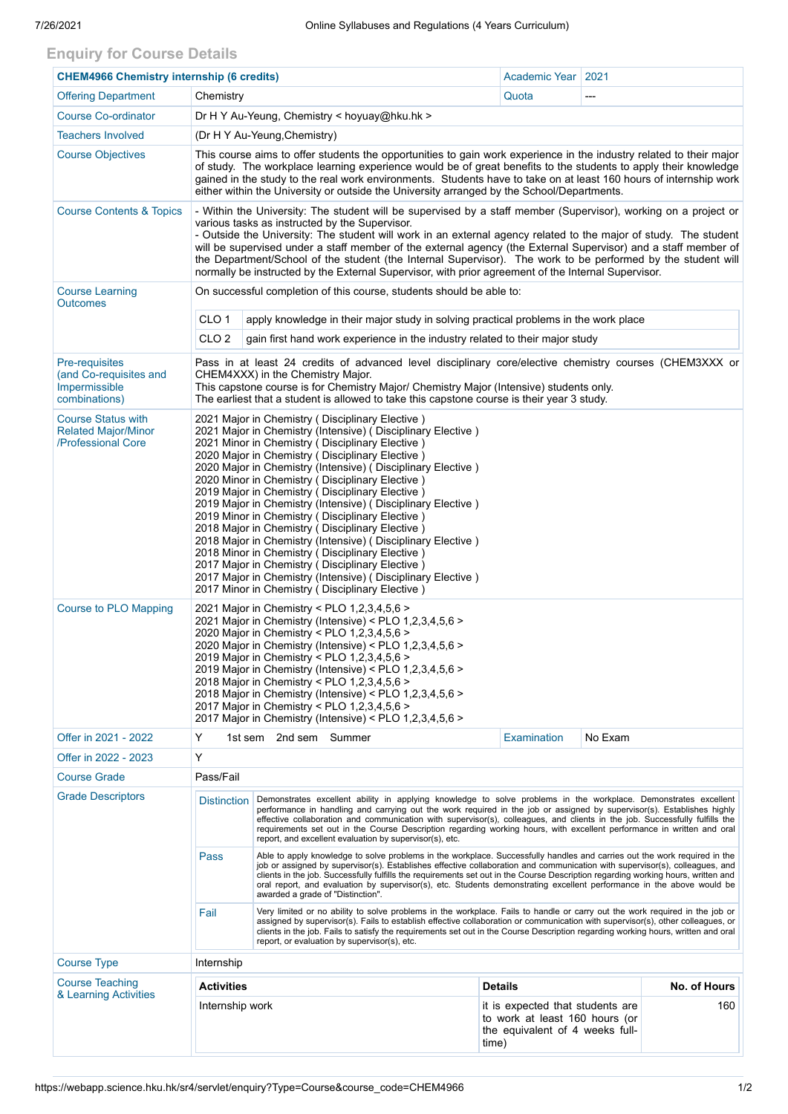## **Enquiry for Course Details**

| <b>CHEM4966 Chemistry internship (6 credits)</b>                                  | Academic Year   2021                                                                                                                                                                                                                                                                                                                                                                                                                                                                                                                                                                                                                                                                                                                                                                                                                                      |                                                                              |                                                                                                                |         |              |  |  |
|-----------------------------------------------------------------------------------|-----------------------------------------------------------------------------------------------------------------------------------------------------------------------------------------------------------------------------------------------------------------------------------------------------------------------------------------------------------------------------------------------------------------------------------------------------------------------------------------------------------------------------------------------------------------------------------------------------------------------------------------------------------------------------------------------------------------------------------------------------------------------------------------------------------------------------------------------------------|------------------------------------------------------------------------------|----------------------------------------------------------------------------------------------------------------|---------|--------------|--|--|
| <b>Offering Department</b>                                                        | Chemistry                                                                                                                                                                                                                                                                                                                                                                                                                                                                                                                                                                                                                                                                                                                                                                                                                                                 |                                                                              | Quota                                                                                                          |         |              |  |  |
| <b>Course Co-ordinator</b>                                                        | Dr H Y Au-Yeung, Chemistry < hoyuay@hku.hk >                                                                                                                                                                                                                                                                                                                                                                                                                                                                                                                                                                                                                                                                                                                                                                                                              |                                                                              |                                                                                                                |         |              |  |  |
| <b>Teachers Involved</b>                                                          | (Dr H Y Au-Yeung, Chemistry)                                                                                                                                                                                                                                                                                                                                                                                                                                                                                                                                                                                                                                                                                                                                                                                                                              |                                                                              |                                                                                                                |         |              |  |  |
| <b>Course Objectives</b>                                                          | This course aims to offer students the opportunities to gain work experience in the industry related to their major<br>of study. The workplace learning experience would be of great benefits to the students to apply their knowledge<br>gained in the study to the real work environments. Students have to take on at least 160 hours of internship work<br>either within the University or outside the University arranged by the School/Departments.                                                                                                                                                                                                                                                                                                                                                                                                 |                                                                              |                                                                                                                |         |              |  |  |
| <b>Course Contents &amp; Topics</b>                                               | - Within the University: The student will be supervised by a staff member (Supervisor), working on a project or<br>various tasks as instructed by the Supervisor.<br>- Outside the University: The student will work in an external agency related to the major of study. The student<br>will be supervised under a staff member of the external agency (the External Supervisor) and a staff member of<br>the Department/School of the student (the Internal Supervisor). The work to be performed by the student will<br>normally be instructed by the External Supervisor, with prior agreement of the Internal Supervisor.                                                                                                                                                                                                                            |                                                                              |                                                                                                                |         |              |  |  |
| <b>Course Learning</b><br><b>Outcomes</b>                                         | On successful completion of this course, students should be able to:                                                                                                                                                                                                                                                                                                                                                                                                                                                                                                                                                                                                                                                                                                                                                                                      |                                                                              |                                                                                                                |         |              |  |  |
|                                                                                   | CLO <sub>1</sub><br>apply knowledge in their major study in solving practical problems in the work place                                                                                                                                                                                                                                                                                                                                                                                                                                                                                                                                                                                                                                                                                                                                                  |                                                                              |                                                                                                                |         |              |  |  |
|                                                                                   | CLO <sub>2</sub>                                                                                                                                                                                                                                                                                                                                                                                                                                                                                                                                                                                                                                                                                                                                                                                                                                          | gain first hand work experience in the industry related to their major study |                                                                                                                |         |              |  |  |
| <b>Pre-requisites</b><br>(and Co-requisites and<br>Impermissible<br>combinations) | Pass in at least 24 credits of advanced level disciplinary core/elective chemistry courses (CHEM3XXX or<br>CHEM4XXX) in the Chemistry Major.<br>This capstone course is for Chemistry Major/ Chemistry Major (Intensive) students only.<br>The earliest that a student is allowed to take this capstone course is their year 3 study.                                                                                                                                                                                                                                                                                                                                                                                                                                                                                                                     |                                                                              |                                                                                                                |         |              |  |  |
| <b>Course Status with</b><br><b>Related Major/Minor</b><br>/Professional Core     | 2021 Major in Chemistry (Disciplinary Elective)<br>2021 Major in Chemistry (Intensive) ( Disciplinary Elective )<br>2021 Minor in Chemistry (Disciplinary Elective)<br>2020 Major in Chemistry (Disciplinary Elective)<br>2020 Major in Chemistry (Intensive) (Disciplinary Elective)<br>2020 Minor in Chemistry (Disciplinary Elective)<br>2019 Major in Chemistry (Disciplinary Elective)<br>2019 Major in Chemistry (Intensive) ( Disciplinary Elective )<br>2019 Minor in Chemistry (Disciplinary Elective)<br>2018 Major in Chemistry (Disciplinary Elective)<br>2018 Major in Chemistry (Intensive) (Disciplinary Elective)<br>2018 Minor in Chemistry (Disciplinary Elective)<br>2017 Major in Chemistry (Disciplinary Elective)<br>2017 Major in Chemistry (Intensive) (Disciplinary Elective)<br>2017 Minor in Chemistry (Disciplinary Elective) |                                                                              |                                                                                                                |         |              |  |  |
| <b>Course to PLO Mapping</b>                                                      | 2021 Major in Chemistry < PLO 1,2,3,4,5,6 ><br>2021 Major in Chemistry (Intensive) < PLO 1,2,3,4,5,6 ><br>2020 Major in Chemistry < PLO 1,2,3,4,5,6 ><br>2020 Major in Chemistry (Intensive) < PLO 1,2,3,4,5,6 ><br>2019 Major in Chemistry < PLO 1,2,3,4,5,6 ><br>2019 Major in Chemistry (Intensive) < PLO 1,2,3,4,5,6 ><br>2018 Major in Chemistry < PLO 1,2,3,4,5,6 ><br>2018 Major in Chemistry (Intensive) < PLO 1,2,3,4,5,6 ><br>2017 Major in Chemistry < PLO 1,2,3,4,5,6 ><br>2017 Major in Chemistry (Intensive) < PLO 1,2,3,4,5,6 >                                                                                                                                                                                                                                                                                                            |                                                                              |                                                                                                                |         |              |  |  |
| Offer in 2021 - 2022                                                              | Y                                                                                                                                                                                                                                                                                                                                                                                                                                                                                                                                                                                                                                                                                                                                                                                                                                                         | 1st sem 2nd sem Summer                                                       | Examination                                                                                                    | No Exam |              |  |  |
| Offer in 2022 - 2023                                                              | Y                                                                                                                                                                                                                                                                                                                                                                                                                                                                                                                                                                                                                                                                                                                                                                                                                                                         |                                                                              |                                                                                                                |         |              |  |  |
| <b>Course Grade</b>                                                               | Pass/Fail                                                                                                                                                                                                                                                                                                                                                                                                                                                                                                                                                                                                                                                                                                                                                                                                                                                 |                                                                              |                                                                                                                |         |              |  |  |
| <b>Grade Descriptors</b>                                                          | Demonstrates excellent ability in applying knowledge to solve problems in the workplace. Demonstrates excellent<br><b>Distinction</b><br>performance in handling and carrying out the work required in the job or assigned by supervisor(s). Establishes highly<br>effective collaboration and communication with supervisor(s), colleagues, and clients in the job. Successfully fulfills the<br>requirements set out in the Course Description regarding working hours, with excellent performance in written and oral<br>report, and excellent evaluation by supervisor(s), etc.                                                                                                                                                                                                                                                                       |                                                                              |                                                                                                                |         |              |  |  |
|                                                                                   | Able to apply knowledge to solve problems in the workplace. Successfully handles and carries out the work required in the<br>Pass<br>job or assigned by supervisor(s). Establishes effective collaboration and communication with supervisor(s), colleagues, and<br>clients in the job. Successfully fulfills the requirements set out in the Course Description regarding working hours, written and<br>oral report, and evaluation by supervisor(s), etc. Students demonstrating excellent performance in the above would be<br>awarded a grade of "Distinction".                                                                                                                                                                                                                                                                                       |                                                                              |                                                                                                                |         |              |  |  |
|                                                                                   | Very limited or no ability to solve problems in the workplace. Fails to handle or carry out the work required in the job or<br>Fail<br>assigned by supervisor(s). Fails to establish effective collaboration or communication with supervisor(s), other colleagues, or<br>clients in the job. Fails to satisfy the requirements set out in the Course Description regarding working hours, written and oral<br>report, or evaluation by supervisor(s), etc.                                                                                                                                                                                                                                                                                                                                                                                               |                                                                              |                                                                                                                |         |              |  |  |
| <b>Course Type</b>                                                                | Internship                                                                                                                                                                                                                                                                                                                                                                                                                                                                                                                                                                                                                                                                                                                                                                                                                                                |                                                                              |                                                                                                                |         |              |  |  |
| <b>Course Teaching</b><br>& Learning Activities                                   | <b>Activities</b><br><b>Details</b>                                                                                                                                                                                                                                                                                                                                                                                                                                                                                                                                                                                                                                                                                                                                                                                                                       |                                                                              |                                                                                                                |         | No. of Hours |  |  |
|                                                                                   | Internship work                                                                                                                                                                                                                                                                                                                                                                                                                                                                                                                                                                                                                                                                                                                                                                                                                                           |                                                                              | it is expected that students are<br>to work at least 160 hours (or<br>the equivalent of 4 weeks full-<br>time) |         | 160          |  |  |